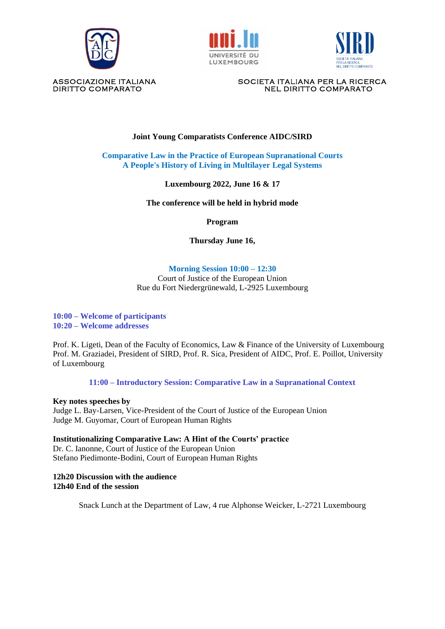





ASSOCIAZIONE ITALIANA SOCIETA ITALIANA PER LA RICERCA DIRITTO COMPARATO NEL DIRITTO COMPARATO

# **Joint Young Comparatists Conference AIDC/SIRD**

**Comparative Law in the Practice of European Supranational Courts A People's History of Living in Multilayer Legal Systems**

### **Luxembourg 2022, June 16 & 17**

**The conference will be held in hybrid mode**

**Program**

**Thursday June 16,**

#### **Morning Session 10:00 – 12:30**

Court of Justice of the European Union Rue du Fort Niedergrünewald, L-2925 Luxembourg

**10:00 – Welcome of participants 10:20 – Welcome addresses**

Prof. K. Ligeti, Dean of the Faculty of Economics, Law & Finance of the University of Luxembourg Prof. M. Graziadei, President of SIRD, Prof. R. Sica, President of AIDC, Prof. E. Poillot, University of Luxembourg

**11:00 – Introductory Session: Comparative Law in a Supranational Context** 

**Key notes speeches by**

Judge L. Bay-Larsen, Vice-President of the Court of Justice of the European Union Judge M. Guyomar, Court of European Human Rights

**Institutionalizing Comparative Law: A Hint of the Courts' practice** Dr. C. Ianonne, Court of Justice of the European Union Stefano Piedimonte-Bodini, Court of European Human Rights

#### **12h20 Discussion with the audience 12h40 End of the session**

Snack Lunch at the Department of Law, 4 rue Alphonse Weicker, L-2721 Luxembourg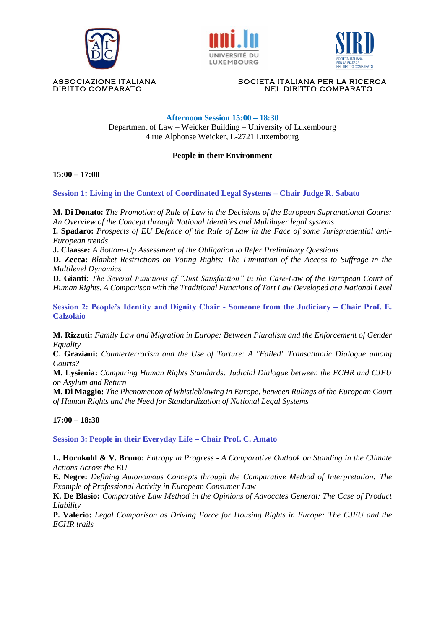





ASSOCIAZIONE ITALIANA SOCIETA ITALIANA PER LA RICERCA DIRITTO COMPARATO NEL DIRITTO COMPARATO

## **Afternoon Session 15:00 – 18:30**

Department of Law – Weicker Building – University of Luxembourg 4 rue Alphonse Weicker, L-2721 Luxembourg

## **People in their Environment**

**15:00 – 17:00**

**Session 1: Living in the Context of Coordinated Legal Systems – Chair Judge R. Sabato** 

**M. Di Donato:** *The Promotion of Rule of Law in the Decisions of the European Supranational Courts: An Overview of the Concept through National Identities and Multilayer legal systems*

**I. Spadaro:** *Prospects of EU Defence of the Rule of Law in the Face of some Jurisprudential anti-European trends*

**J. Claasse:** *A Bottom-Up Assessment of the Obligation to Refer Preliminary Questions*

**D. Zecca:** *Blanket Restrictions on Voting Rights: The Limitation of the Access to Suffrage in the Multilevel Dynamics*

**D. Gianti:** *The Several Functions of "Just Satisfaction" in the Case-Law of the European Court of Human Rights. A Comparison with the Traditional Functions of Tort Law Developed at a National Level*

**Session 2: People's Identity and Dignity Chair - Someone from the Judiciary – Chair Prof. E. Calzolaio**

**M. Rizzuti:** *Family Law and Migration in Europe: Between Pluralism and the Enforcement of Gender Equality*

**C. Graziani:** *Counterterrorism and the Use of Torture: A "Failed" Transatlantic Dialogue among Courts?* 

**M. Lysienia:** *Comparing Human Rights Standards: Judicial Dialogue between the ECHR and CJEU on Asylum and Return*

**M. Di Maggio:** *The Phenomenon of Whistleblowing in Europe, between Rulings of the European Court of Human Rights and the Need for Standardization of National Legal Systems* 

**17:00 – 18:30**

**Session 3: People in their Everyday Life – Chair Prof. C. Amato** 

**L. Hornkohl & V. Bruno:** *Entropy in Progress - A Comparative Outlook on Standing in the Climate Actions Across the EU* 

**E. Negre:** *Defining Autonomous Concepts through the Comparative Method of Interpretation: The Example of Professional Activity in European Consumer Law*

**K. De Blasio:** *Comparative Law Method in the Opinions of Advocates General: The Case of Product Liability* 

**P. Valerio:** *Legal Comparison as Driving Force for Housing Rights in Europe: The CJEU and the ECHR trails*